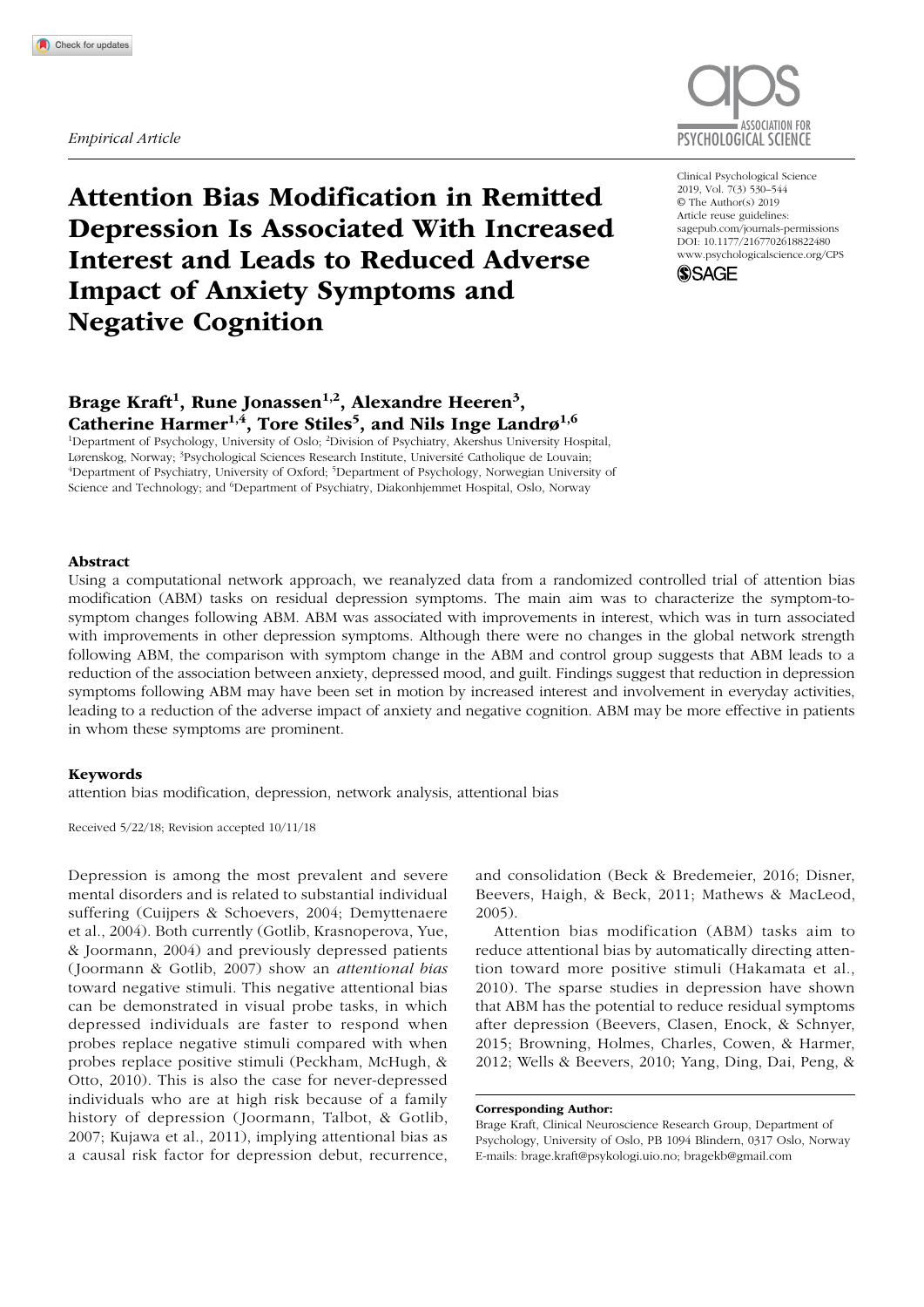

# Attention Bias Modification in Remitted Depression Is Associated With Increased Interest and Leads to Reduced Adverse Impact of Anxiety Symptoms and Negative Cognition

DOI: 10.1177/2167702618822480 Clinical Psychological Science 2019, Vol. 7(3) 530–544 © The Author(s) 2019 Article reuse guidelines: [sagepub.com/journals-permissions](https://sagepub.com/journals-permissions) [www.psychologicalscience.org/](http://www.psychologicalscience.org/cps)CPS



# Brage Kraft<sup>1</sup>, Rune Jonassen<sup>1,2</sup>, Alexandre Heeren<sup>3</sup>, Catherine Harmer<sup>1,4</sup>, Tore Stiles<sup>5</sup>, and Nils Inge Landrø<sup>1,6</sup>

<sup>1</sup>Department of Psychology, University of Oslo; <sup>2</sup>Division of Psychiatry, Akershus University Hospital, Lørenskog, Norway; <sup>3</sup>Psychological Sciences Research Institute, Université Catholique de Louvain;<br><sup>4</sup>Department of Psychiatry, University of Oxford<sup>, 5</sup>Department of Psychology, Norwegian Universit Department of Psychiatry, University of Oxford; <sup>5</sup>Department of Psychology, Norwegian University of Science and Technology; and <sup>6</sup>Department of Psychiatry, Diakonhjemmet Hospital, Oslo, Norway

#### Abstract

Using a computational network approach, we reanalyzed data from a randomized controlled trial of attention bias modification (ABM) tasks on residual depression symptoms. The main aim was to characterize the symptom-tosymptom changes following ABM. ABM was associated with improvements in interest, which was in turn associated with improvements in other depression symptoms. Although there were no changes in the global network strength following ABM, the comparison with symptom change in the ABM and control group suggests that ABM leads to a reduction of the association between anxiety, depressed mood, and guilt. Findings suggest that reduction in depression symptoms following ABM may have been set in motion by increased interest and involvement in everyday activities, leading to a reduction of the adverse impact of anxiety and negative cognition. ABM may be more effective in patients in whom these symptoms are prominent.

#### Keywords

attention bias modification, depression, network analysis, attentional bias

Received 5/22/18; Revision accepted 10/11/18

Depression is among the most prevalent and severe mental disorders and is related to substantial individual suffering (Cuijpers & Schoevers, 2004; Demyttenaere et al., 2004). Both currently (Gotlib, Krasnoperova, Yue, & Joormann, 2004) and previously depressed patients (Joormann & Gotlib, 2007) show an *attentional bias* toward negative stimuli. This negative attentional bias can be demonstrated in visual probe tasks, in which depressed individuals are faster to respond when probes replace negative stimuli compared with when probes replace positive stimuli (Peckham, McHugh, & Otto, 2010). This is also the case for never-depressed individuals who are at high risk because of a family history of depression (Joormann, Talbot, & Gotlib, 2007; Kujawa et al., 2011), implying attentional bias as a causal risk factor for depression debut, recurrence, and consolidation (Beck & Bredemeier, 2016; Disner, Beevers, Haigh, & Beck, 2011; Mathews & MacLeod, 2005).

Attention bias modification (ABM) tasks aim to reduce attentional bias by automatically directing attention toward more positive stimuli (Hakamata et al., 2010). The sparse studies in depression have shown that ABM has the potential to reduce residual symptoms after depression (Beevers, Clasen, Enock, & Schnyer, 2015; Browning, Holmes, Charles, Cowen, & Harmer, 2012; Wells & Beevers, 2010; Yang, Ding, Dai, Peng, &

Corresponding Author:

Brage Kraft, Clinical Neuroscience Research Group, Department of Psychology, University of Oslo, PB 1094 Blindern, 0317 Oslo, Norway E-mails: [brage.kraft@psykologi.uio.no](mailto:brage.kraft@psykologi.uio.no); [bragekb@gmail.com](mailto:bragekb@gmail.com)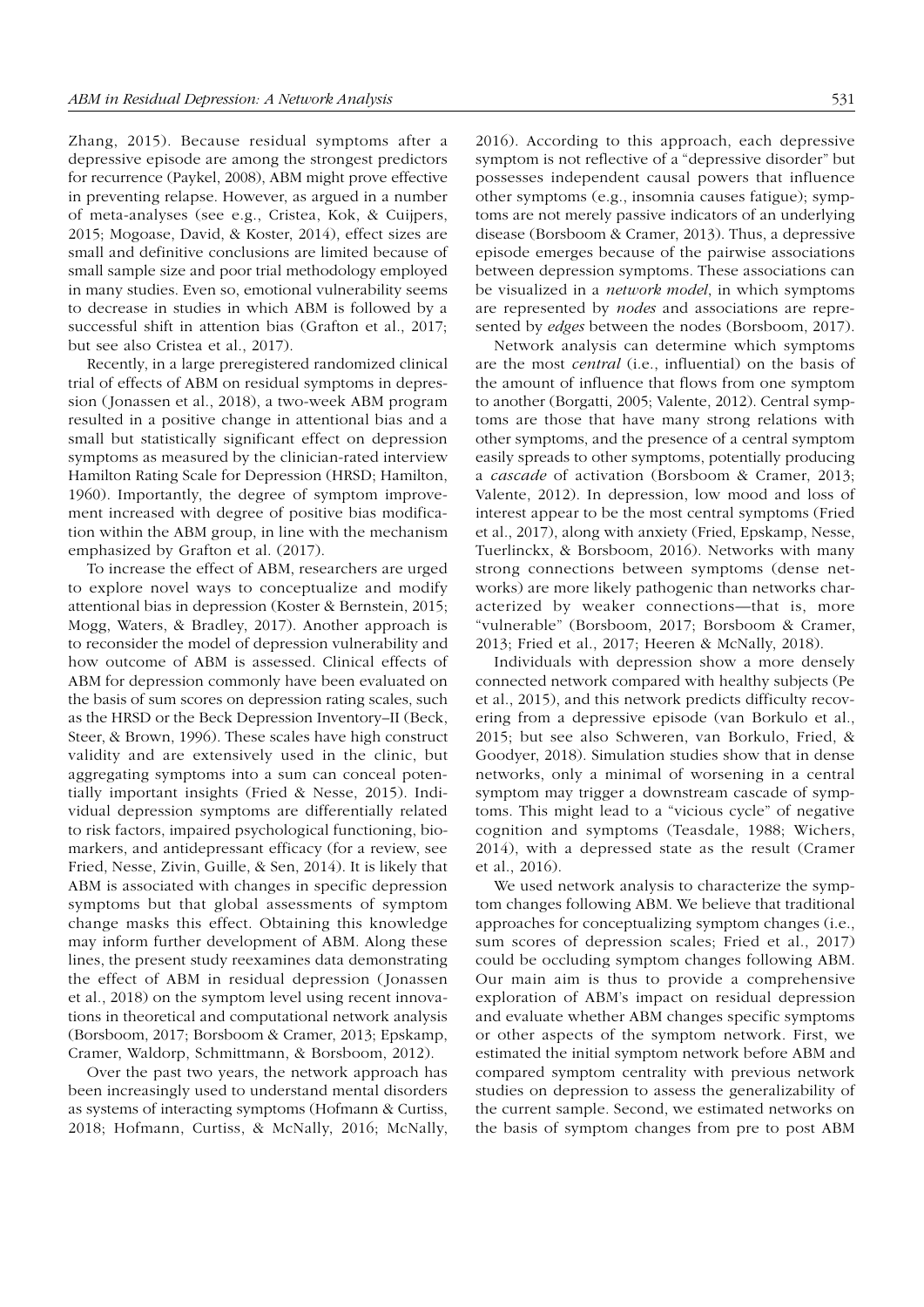Zhang, 2015). Because residual symptoms after a depressive episode are among the strongest predictors for recurrence (Paykel, 2008), ABM might prove effective in preventing relapse. However, as argued in a number of meta-analyses (see e.g., Cristea, Kok, & Cuijpers, 2015; Mogoase, David, & Koster, 2014), effect sizes are small and definitive conclusions are limited because of small sample size and poor trial methodology employed in many studies. Even so, emotional vulnerability seems to decrease in studies in which ABM is followed by a successful shift in attention bias (Grafton et al., 2017; but see also Cristea et al., 2017).

Recently, in a large preregistered randomized clinical trial of effects of ABM on residual symptoms in depression (Jonassen et al., 2018), a two-week ABM program resulted in a positive change in attentional bias and a small but statistically significant effect on depression symptoms as measured by the clinician-rated interview Hamilton Rating Scale for Depression (HRSD; Hamilton, 1960). Importantly, the degree of symptom improvement increased with degree of positive bias modification within the ABM group, in line with the mechanism emphasized by Grafton et al. (2017).

To increase the effect of ABM, researchers are urged to explore novel ways to conceptualize and modify attentional bias in depression (Koster & Bernstein, 2015; Mogg, Waters, & Bradley, 2017). Another approach is to reconsider the model of depression vulnerability and how outcome of ABM is assessed. Clinical effects of ABM for depression commonly have been evaluated on the basis of sum scores on depression rating scales, such as the HRSD or the Beck Depression Inventory–II (Beck, Steer, & Brown, 1996). These scales have high construct validity and are extensively used in the clinic, but aggregating symptoms into a sum can conceal potentially important insights (Fried & Nesse, 2015). Individual depression symptoms are differentially related to risk factors, impaired psychological functioning, biomarkers, and antidepressant efficacy (for a review, see Fried, Nesse, Zivin, Guille, & Sen, 2014). It is likely that ABM is associated with changes in specific depression symptoms but that global assessments of symptom change masks this effect. Obtaining this knowledge may inform further development of ABM. Along these lines, the present study reexamines data demonstrating the effect of ABM in residual depression (Jonassen et al., 2018) on the symptom level using recent innovations in theoretical and computational network analysis (Borsboom, 2017; Borsboom & Cramer, 2013; Epskamp, Cramer, Waldorp, Schmittmann, & Borsboom, 2012).

Over the past two years, the network approach has been increasingly used to understand mental disorders as systems of interacting symptoms (Hofmann & Curtiss, 2018; Hofmann, Curtiss, & McNally, 2016; McNally,

2016). According to this approach, each depressive symptom is not reflective of a "depressive disorder" but possesses independent causal powers that influence other symptoms (e.g., insomnia causes fatigue); symptoms are not merely passive indicators of an underlying disease (Borsboom & Cramer, 2013). Thus, a depressive episode emerges because of the pairwise associations between depression symptoms. These associations can be visualized in a *network model*, in which symptoms are represented by *nodes* and associations are represented by *edges* between the nodes (Borsboom, 2017).

Network analysis can determine which symptoms are the most *central* (i.e., influential) on the basis of the amount of influence that flows from one symptom to another (Borgatti, 2005; Valente, 2012). Central symptoms are those that have many strong relations with other symptoms, and the presence of a central symptom easily spreads to other symptoms, potentially producing a *cascade* of activation (Borsboom & Cramer, 2013; Valente, 2012). In depression, low mood and loss of interest appear to be the most central symptoms (Fried et al., 2017), along with anxiety (Fried, Epskamp, Nesse, Tuerlinckx, & Borsboom, 2016). Networks with many strong connections between symptoms (dense networks) are more likely pathogenic than networks characterized by weaker connections—that is, more "vulnerable" (Borsboom, 2017; Borsboom & Cramer, 2013; Fried et al., 2017; Heeren & McNally, 2018).

Individuals with depression show a more densely connected network compared with healthy subjects (Pe et al., 2015), and this network predicts difficulty recovering from a depressive episode (van Borkulo et al., 2015; but see also Schweren, van Borkulo, Fried, & Goodyer, 2018). Simulation studies show that in dense networks, only a minimal of worsening in a central symptom may trigger a downstream cascade of symptoms. This might lead to a "vicious cycle" of negative cognition and symptoms (Teasdale, 1988; Wichers, 2014), with a depressed state as the result (Cramer et al., 2016).

We used network analysis to characterize the symptom changes following ABM. We believe that traditional approaches for conceptualizing symptom changes (i.e., sum scores of depression scales; Fried et al., 2017) could be occluding symptom changes following ABM. Our main aim is thus to provide a comprehensive exploration of ABM's impact on residual depression and evaluate whether ABM changes specific symptoms or other aspects of the symptom network. First, we estimated the initial symptom network before ABM and compared symptom centrality with previous network studies on depression to assess the generalizability of the current sample. Second, we estimated networks on the basis of symptom changes from pre to post ABM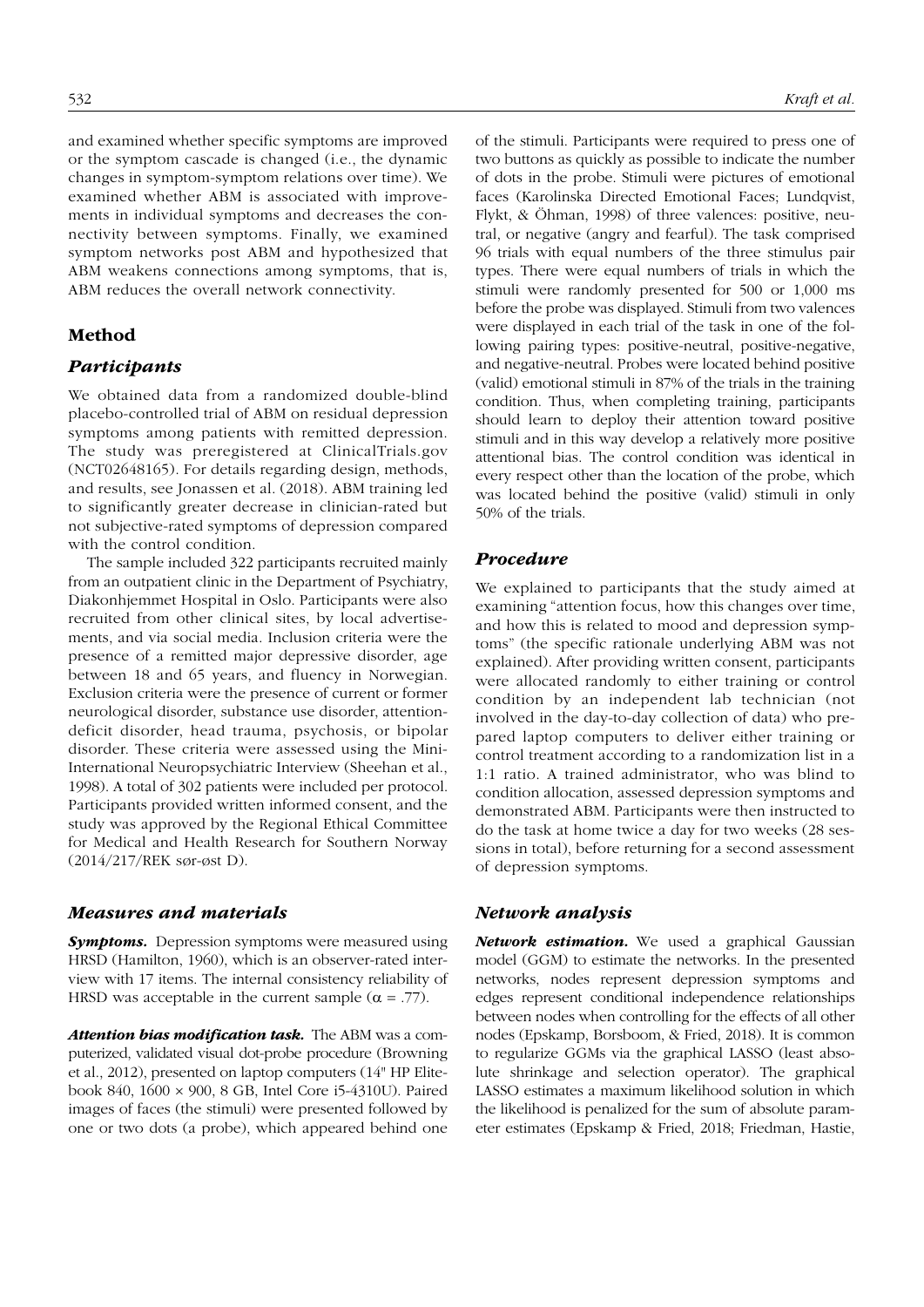and examined whether specific symptoms are improved or the symptom cascade is changed (i.e., the dynamic changes in symptom-symptom relations over time). We examined whether ABM is associated with improvements in individual symptoms and decreases the connectivity between symptoms. Finally, we examined symptom networks post ABM and hypothesized that ABM weakens connections among symptoms, that is, ABM reduces the overall network connectivity.

## Method

## *Participants*

We obtained data from a randomized double-blind placebo-controlled trial of ABM on residual depression symptoms among patients with remitted depression. The study was preregistered at ClinicalTrials.gov (NCT02648165). For details regarding design, methods, and results, see Jonassen et al. (2018). ABM training led to significantly greater decrease in clinician-rated but not subjective-rated symptoms of depression compared with the control condition.

The sample included 322 participants recruited mainly from an outpatient clinic in the Department of Psychiatry, Diakonhjemmet Hospital in Oslo. Participants were also recruited from other clinical sites, by local advertisements, and via social media. Inclusion criteria were the presence of a remitted major depressive disorder, age between 18 and 65 years, and fluency in Norwegian. Exclusion criteria were the presence of current or former neurological disorder, substance use disorder, attentiondeficit disorder, head trauma, psychosis, or bipolar disorder. These criteria were assessed using the Mini-International Neuropsychiatric Interview (Sheehan et al., 1998). A total of 302 patients were included per protocol. Participants provided written informed consent, and the study was approved by the Regional Ethical Committee for Medical and Health Research for Southern Norway (2014/217/REK sør-øst D).

#### *Measures and materials*

**Symptoms.** Depression symptoms were measured using HRSD (Hamilton, 1960), which is an observer-rated interview with 17 items. The internal consistency reliability of HRSD was acceptable in the current sample ( $\alpha$  = .77).

*Attention bias modification task.* The ABM was a computerized, validated visual dot-probe procedure (Browning et al., 2012), presented on laptop computers (14" HP Elitebook 840, 1600 × 900, 8 GB, Intel Core i5-4310U). Paired images of faces (the stimuli) were presented followed by one or two dots (a probe), which appeared behind one

of the stimuli. Participants were required to press one of two buttons as quickly as possible to indicate the number of dots in the probe. Stimuli were pictures of emotional faces (Karolinska Directed Emotional Faces; Lundqvist, Flykt, & Öhman, 1998) of three valences: positive, neutral, or negative (angry and fearful). The task comprised 96 trials with equal numbers of the three stimulus pair types. There were equal numbers of trials in which the stimuli were randomly presented for 500 or 1,000 ms before the probe was displayed. Stimuli from two valences were displayed in each trial of the task in one of the following pairing types: positive-neutral, positive-negative, and negative-neutral. Probes were located behind positive (valid) emotional stimuli in 87% of the trials in the training condition. Thus, when completing training, participants should learn to deploy their attention toward positive stimuli and in this way develop a relatively more positive attentional bias. The control condition was identical in every respect other than the location of the probe, which was located behind the positive (valid) stimuli in only 50% of the trials.

#### *Procedure*

We explained to participants that the study aimed at examining "attention focus, how this changes over time, and how this is related to mood and depression symptoms" (the specific rationale underlying ABM was not explained). After providing written consent, participants were allocated randomly to either training or control condition by an independent lab technician (not involved in the day-to-day collection of data) who prepared laptop computers to deliver either training or control treatment according to a randomization list in a 1:1 ratio. A trained administrator, who was blind to condition allocation, assessed depression symptoms and demonstrated ABM. Participants were then instructed to do the task at home twice a day for two weeks (28 sessions in total), before returning for a second assessment of depression symptoms.

#### *Network analysis*

*Network estimation.* We used a graphical Gaussian model (GGM) to estimate the networks. In the presented networks, nodes represent depression symptoms and edges represent conditional independence relationships between nodes when controlling for the effects of all other nodes (Epskamp, Borsboom, & Fried, 2018). It is common to regularize GGMs via the graphical LASSO (least absolute shrinkage and selection operator). The graphical LASSO estimates a maximum likelihood solution in which the likelihood is penalized for the sum of absolute parameter estimates (Epskamp & Fried, 2018; Friedman, Hastie,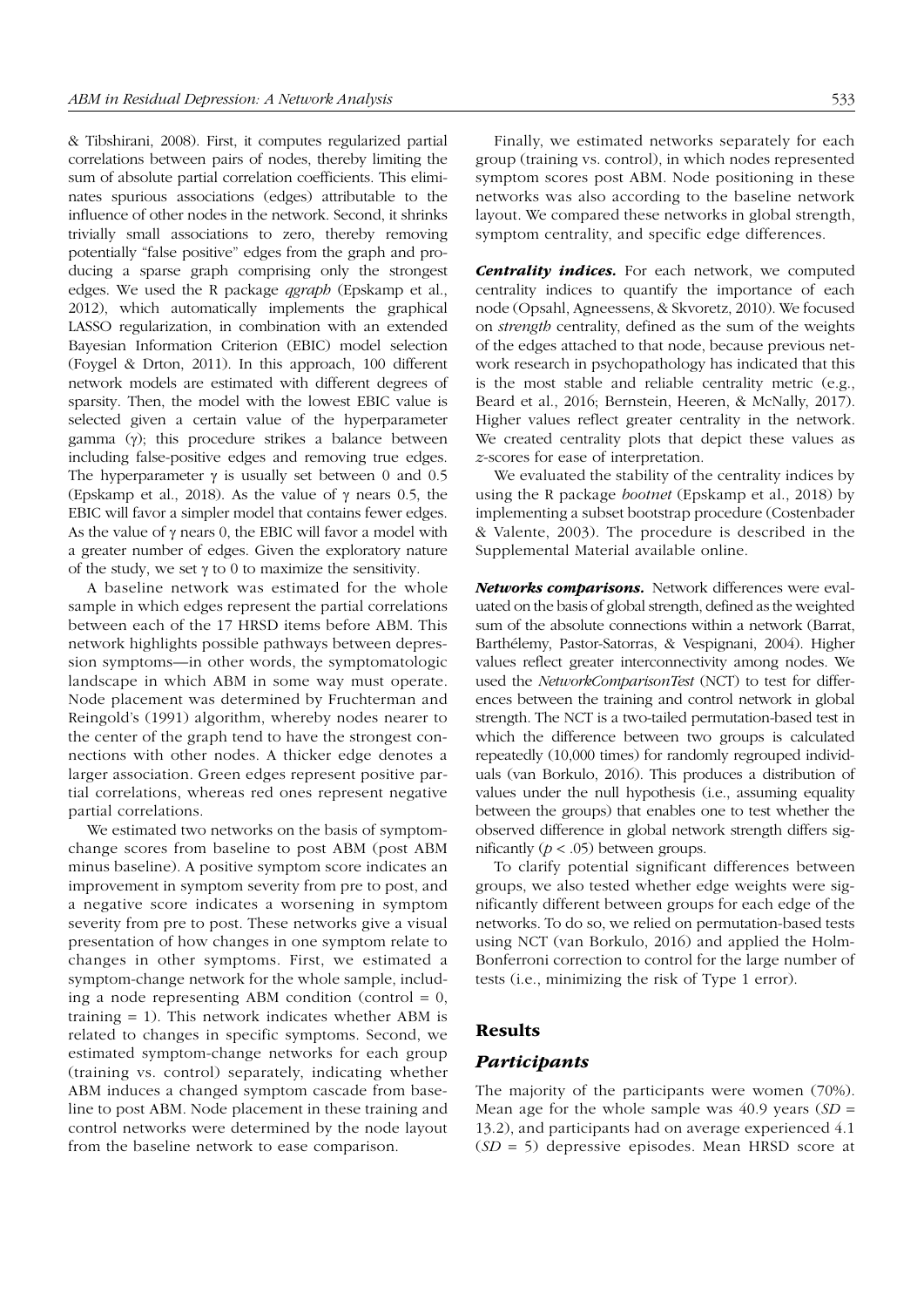& Tibshirani, 2008). First, it computes regularized partial correlations between pairs of nodes, thereby limiting the sum of absolute partial correlation coefficients. This eliminates spurious associations (edges) attributable to the influence of other nodes in the network. Second, it shrinks trivially small associations to zero, thereby removing potentially "false positive" edges from the graph and producing a sparse graph comprising only the strongest edges. We used the R package *qgraph* (Epskamp et al., 2012), which automatically implements the graphical LASSO regularization, in combination with an extended Bayesian Information Criterion (EBIC) model selection (Foygel & Drton, 2011). In this approach, 100 different network models are estimated with different degrees of sparsity. Then, the model with the lowest EBIC value is selected given a certain value of the hyperparameter gamma (γ); this procedure strikes a balance between including false-positive edges and removing true edges. The hyperparameter  $\gamma$  is usually set between 0 and 0.5 (Epskamp et al., 2018). As the value of  $\gamma$  nears 0.5, the EBIC will favor a simpler model that contains fewer edges. As the value of γ nears 0, the EBIC will favor a model with a greater number of edges. Given the exploratory nature of the study, we set  $\gamma$  to 0 to maximize the sensitivity.

A baseline network was estimated for the whole sample in which edges represent the partial correlations between each of the 17 HRSD items before ABM. This network highlights possible pathways between depression symptoms—in other words, the symptomatologic landscape in which ABM in some way must operate. Node placement was determined by Fruchterman and Reingold's (1991) algorithm, whereby nodes nearer to the center of the graph tend to have the strongest connections with other nodes. A thicker edge denotes a larger association. Green edges represent positive partial correlations, whereas red ones represent negative partial correlations.

We estimated two networks on the basis of symptomchange scores from baseline to post ABM (post ABM minus baseline). A positive symptom score indicates an improvement in symptom severity from pre to post, and a negative score indicates a worsening in symptom severity from pre to post. These networks give a visual presentation of how changes in one symptom relate to changes in other symptoms. First, we estimated a symptom-change network for the whole sample, including a node representing ABM condition (control  $= 0$ , training  $= 1$ ). This network indicates whether ABM is related to changes in specific symptoms. Second, we estimated symptom-change networks for each group (training vs. control) separately, indicating whether ABM induces a changed symptom cascade from baseline to post ABM. Node placement in these training and control networks were determined by the node layout from the baseline network to ease comparison.

Finally, we estimated networks separately for each group (training vs. control), in which nodes represented symptom scores post ABM. Node positioning in these networks was also according to the baseline network layout. We compared these networks in global strength, symptom centrality, and specific edge differences.

*Centrality indices.* For each network, we computed centrality indices to quantify the importance of each node (Opsahl, Agneessens, & Skvoretz, 2010). We focused on *strength* centrality, defined as the sum of the weights of the edges attached to that node, because previous network research in psychopathology has indicated that this is the most stable and reliable centrality metric (e.g., Beard et al., 2016; Bernstein, Heeren, & McNally, 2017). Higher values reflect greater centrality in the network. We created centrality plots that depict these values as *z*-scores for ease of interpretation.

We evaluated the stability of the centrality indices by using the R package *bootnet* (Epskamp et al., 2018) by implementing a subset bootstrap procedure (Costenbader & Valente, 2003). The procedure is described in the [Supplemental Material](https://journals.sagepub.com/doi/suppl/10.1177/2167702618822480) available online.

*Networks comparisons.* Network differences were evaluated on the basis of global strength, defined as the weighted sum of the absolute connections within a network (Barrat, Barthélemy, Pastor-Satorras, & Vespignani, 2004). Higher values reflect greater interconnectivity among nodes. We used the *NetworkComparisonTest* (NCT) to test for differences between the training and control network in global strength. The NCT is a two-tailed permutation-based test in which the difference between two groups is calculated repeatedly (10,000 times) for randomly regrouped individuals (van Borkulo, 2016). This produces a distribution of values under the null hypothesis (i.e., assuming equality between the groups) that enables one to test whether the observed difference in global network strength differs significantly  $(p < .05)$  between groups.

To clarify potential significant differences between groups, we also tested whether edge weights were significantly different between groups for each edge of the networks. To do so, we relied on permutation-based tests using NCT (van Borkulo, 2016) and applied the Holm-Bonferroni correction to control for the large number of tests (i.e., minimizing the risk of Type 1 error).

#### Results

#### *Participants*

The majority of the participants were women (70%). Mean age for the whole sample was 40.9 years (*SD* = 13.2), and participants had on average experienced 4.1 (*SD* = 5) depressive episodes. Mean HRSD score at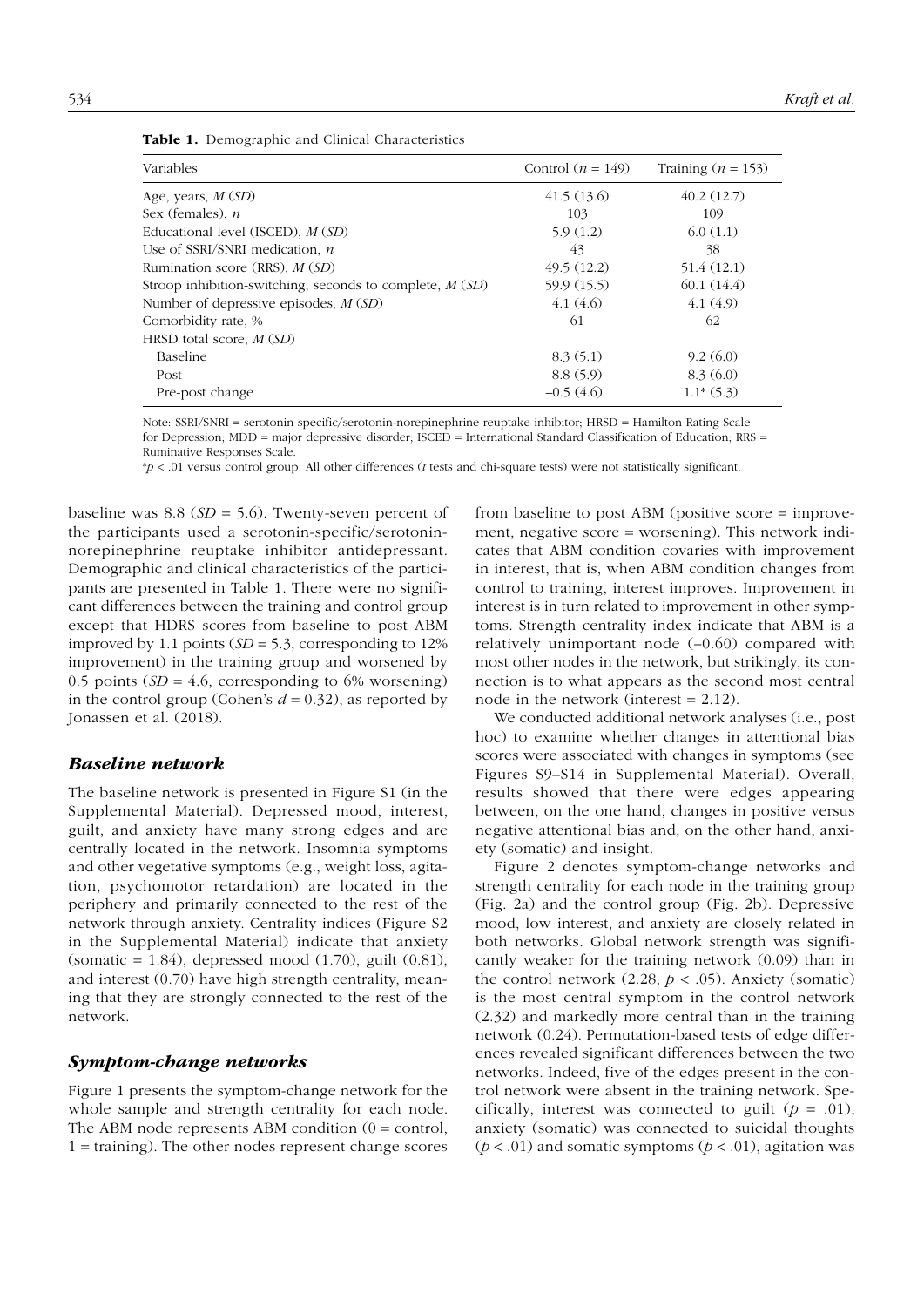| Variables                                                 | Control $(n = 149)$ | Training $(n = 153)$ |
|-----------------------------------------------------------|---------------------|----------------------|
| Age, years, $M(SD)$                                       | 41.5(13.6)          | 40.2(12.7)           |
| Sex (females), $n$                                        | 103                 | 109                  |
| Educational level (ISCED), <i>M (SD)</i>                  | 5.9(1.2)            | 6.0(1.1)             |
| Use of SSRI/SNRI medication, $n$                          | 43                  | 38                   |
| Rumination score (RRS), $M(SD)$                           | 49.5(12.2)          | 51.4(12.1)           |
| Stroop inhibition-switching, seconds to complete, $M(SD)$ | 59.9 (15.5)         | 60.1(14.4)           |
| Number of depressive episodes, $M(SD)$                    | 4.1(4.6)            | 4.1(4.9)             |
| Comorbidity rate, %                                       | 61                  | 62                   |
| HRSD total score, $M(SD)$                                 |                     |                      |
| Baseline                                                  | 8.3(5.1)            | 9.2(6.0)             |
| Post                                                      | 8.8(5.9)            | 8.3(6.0)             |
| Pre-post change                                           | $-0.5(4.6)$         | $1.1*(5.3)$          |
|                                                           |                     |                      |

Table 1. Demographic and Clinical Characteristics

Note: SSRI/SNRI = serotonin specific/serotonin-norepinephrine reuptake inhibitor; HRSD = Hamilton Rating Scale for Depression; MDD = major depressive disorder; ISCED = International Standard Classification of Education; RRS = Ruminative Responses Scale.

\**p* < .01 versus control group. All other differences (*t* tests and chi-square tests) were not statistically significant.

baseline was  $8.8$  (*SD* = 5.6). Twenty-seven percent of the participants used a serotonin-specific/serotoninnorepinephrine reuptake inhibitor antidepressant. Demographic and clinical characteristics of the participants are presented in Table 1. There were no significant differences between the training and control group except that HDRS scores from baseline to post ABM improved by 1.1 points  $(SD = 5.3$ , corresponding to 12% improvement) in the training group and worsened by 0.5 points  $(SD = 4.6,$  corresponding to 6% worsening) in the control group (Cohen's  $d = 0.32$ ), as reported by Jonassen et al. (2018).

## *Baseline network*

The baseline network is presented in [Figure S1](https://journals.sagepub.com/doi/suppl/10.1177/2167702618822480) (in the [Supplemental Material](https://journals.sagepub.com/doi/suppl/10.1177/2167702618822480)). Depressed mood, interest, guilt, and anxiety have many strong edges and are centrally located in the network. Insomnia symptoms and other vegetative symptoms (e.g., weight loss, agitation, psychomotor retardation) are located in the periphery and primarily connected to the rest of the network through anxiety. Centrality indices ([Figure S2](https://journals.sagepub.com/doi/suppl/10.1177/2167702618822480) in the [Supplemental Material](https://journals.sagepub.com/doi/suppl/10.1177/2167702618822480)) indicate that anxiety (somatic = 1.84), depressed mood  $(1.70)$ , guilt  $(0.81)$ , and interest (0.70) have high strength centrality, meaning that they are strongly connected to the rest of the network.

#### *Symptom-change networks*

Figure 1 presents the symptom-change network for the whole sample and strength centrality for each node. The ABM node represents ABM condition  $(0 = \text{control},$ 1 = training). The other nodes represent change scores

from baseline to post ABM (positive score = improvement, negative score = worsening). This network indicates that ABM condition covaries with improvement in interest, that is, when ABM condition changes from control to training, interest improves. Improvement in interest is in turn related to improvement in other symptoms. Strength centrality index indicate that ABM is a relatively unimportant node (–0.60) compared with most other nodes in the network, but strikingly, its connection is to what appears as the second most central node in the network (interest = 2.12).

We conducted additional network analyses (i.e., post hoc) to examine whether changes in attentional bias scores were associated with changes in symptoms (see [Figures S9–S14](https://journals.sagepub.com/doi/suppl/10.1177/2167702618822480) in [Supplemental Material\)](https://journals.sagepub.com/doi/suppl/10.1177/2167702618822480). Overall, results showed that there were edges appearing between, on the one hand, changes in positive versus negative attentional bias and, on the other hand, anxiety (somatic) and insight.

Figure 2 denotes symptom-change networks and strength centrality for each node in the training group (Fig. 2a) and the control group (Fig. 2b). Depressive mood, low interest, and anxiety are closely related in both networks. Global network strength was significantly weaker for the training network (0.09) than in the control network  $(2.28, p < .05)$ . Anxiety (somatic) is the most central symptom in the control network (2.32) and markedly more central than in the training network (0.24). Permutation-based tests of edge differences revealed significant differences between the two networks. Indeed, five of the edges present in the control network were absent in the training network. Specifically, interest was connected to guilt  $(p = .01)$ , anxiety (somatic) was connected to suicidal thoughts  $(p < .01)$  and somatic symptoms  $(p < .01)$ , agitation was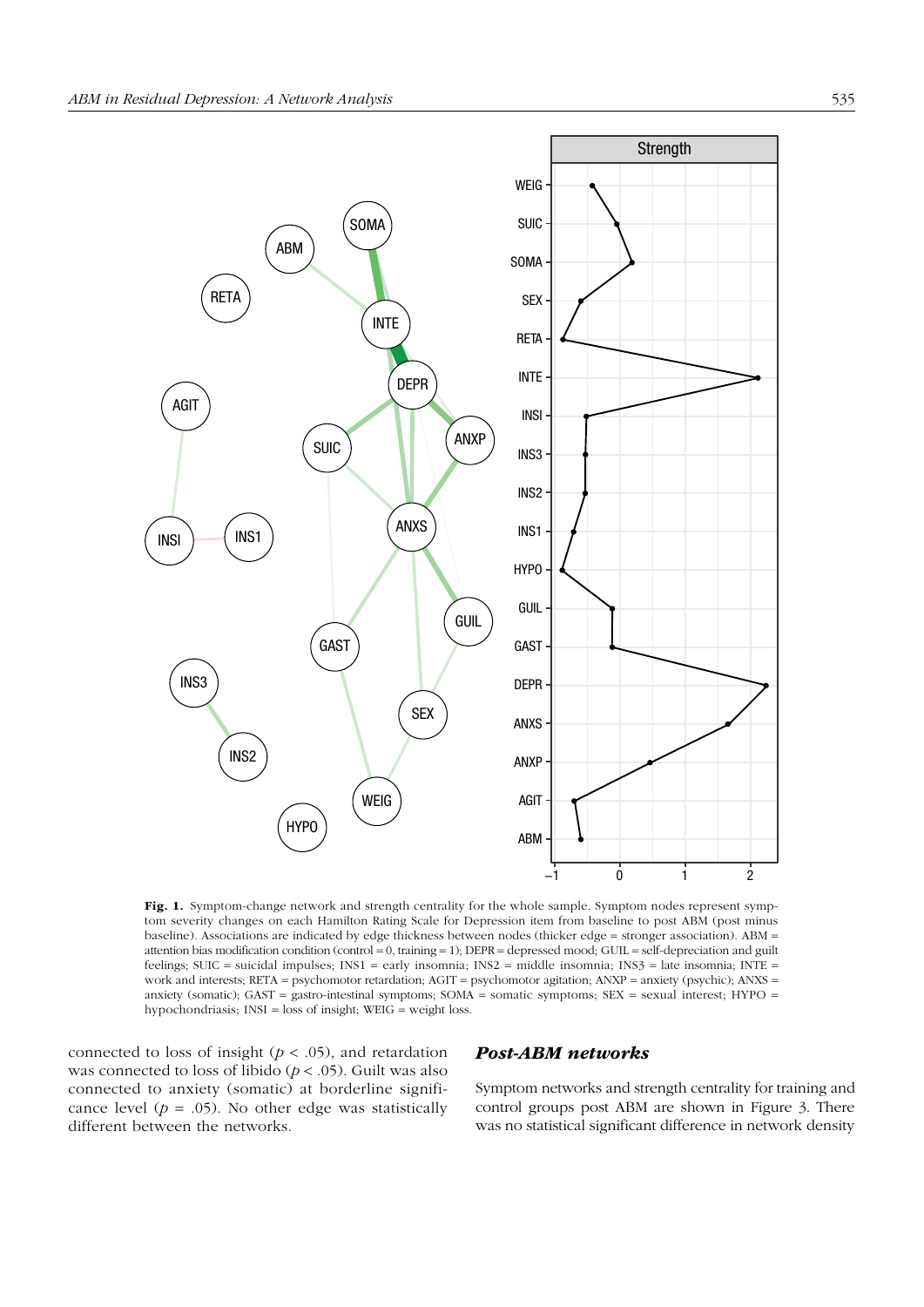

Fig. 1. Symptom-change network and strength centrality for the whole sample. Symptom nodes represent symptom severity changes on each Hamilton Rating Scale for Depression item from baseline to post ABM (post minus baseline). Associations are indicated by edge thickness between nodes (thicker edge = stronger association). ABM = attention bias modification condition (control = 0, training = 1); DEPR = depressed mood; GUIL = self-depreciation and guilt feelings; SUIC = suicidal impulses; INS1 = early insomnia; INS2 = middle insomnia; INS3 = late insomnia; INTE = work and interests; RETA = psychomotor retardation; AGIT = psychomotor agitation; ANXP = anxiety (psychic); ANXS = anxiety (somatic); GAST = gastro-intestinal symptoms; SOMA = somatic symptoms; SEX = sexual interest; HYPO = hypochondriasis; INSI = loss of insight; WEIG = weight loss.

connected to loss of insight ( $p < .05$ ), and retardation was connected to loss of libido (*p* < .05). Guilt was also connected to anxiety (somatic) at borderline significance level ( $p = .05$ ). No other edge was statistically different between the networks.

## *Post-ABM networks*

Symptom networks and strength centrality for training and control groups post ABM are shown in Figure 3. There was no statistical significant difference in network density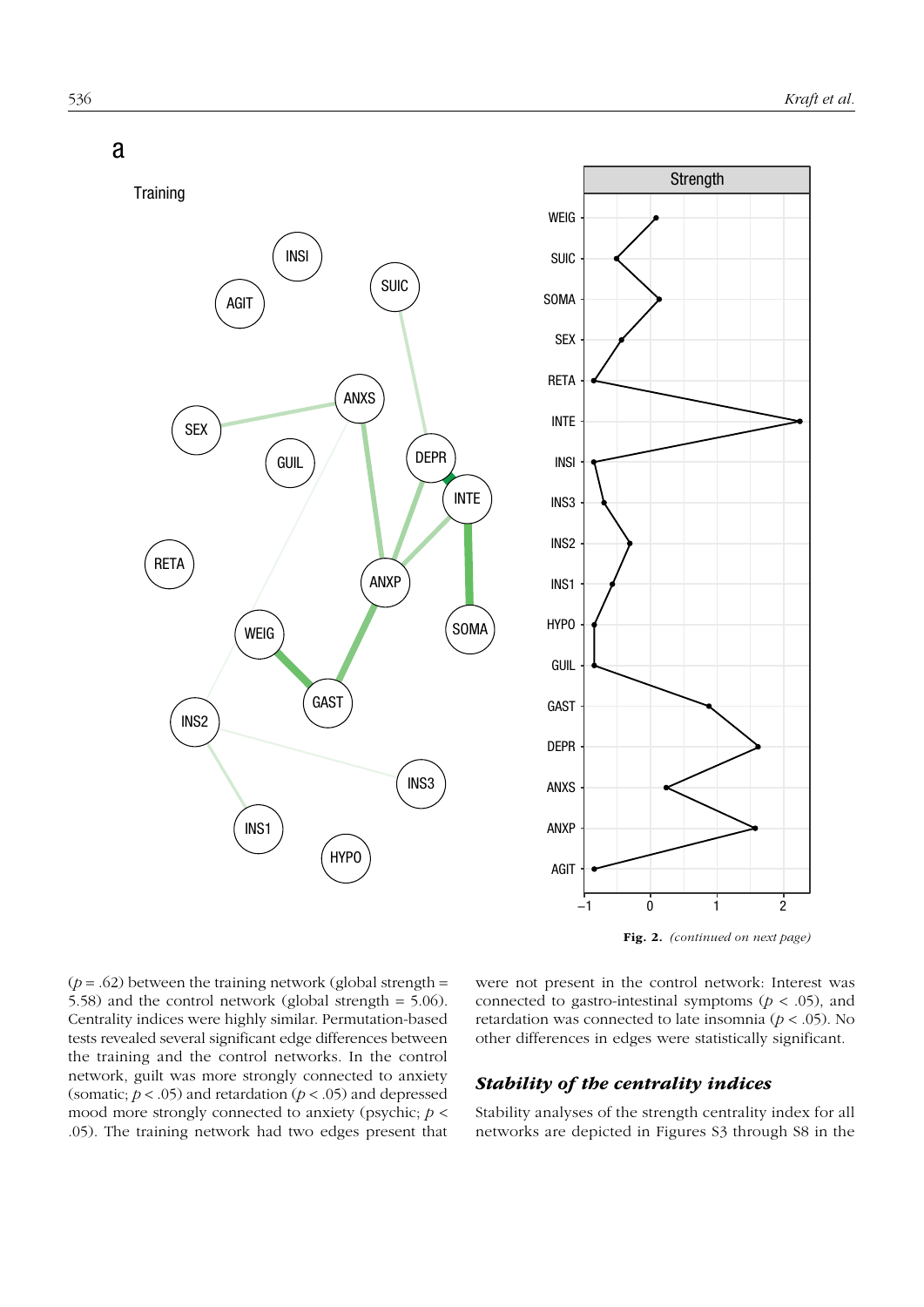a



Fig. 2. *(continued on next page)*

 $(p = .62)$  between the training network (global strength = 5.58) and the control network (global strength = 5.06). Centrality indices were highly similar. Permutation-based tests revealed several significant edge differences between the training and the control networks. In the control network, guilt was more strongly connected to anxiety (somatic;  $p < .05$ ) and retardation ( $p < .05$ ) and depressed mood more strongly connected to anxiety (psychic; *p* < .05). The training network had two edges present that

were not present in the control network: Interest was connected to gastro-intestinal symptoms ( $p < .05$ ), and retardation was connected to late insomnia (*p* < .05). No other differences in edges were statistically significant.

## *Stability of the centrality indices*

Stability analyses of the strength centrality index for all networks are depicted in [Figures S3](https://journals.sagepub.com/doi/suppl/10.1177/2167702618822480) through [S8](https://journals.sagepub.com/doi/suppl/10.1177/2167702618822480) in the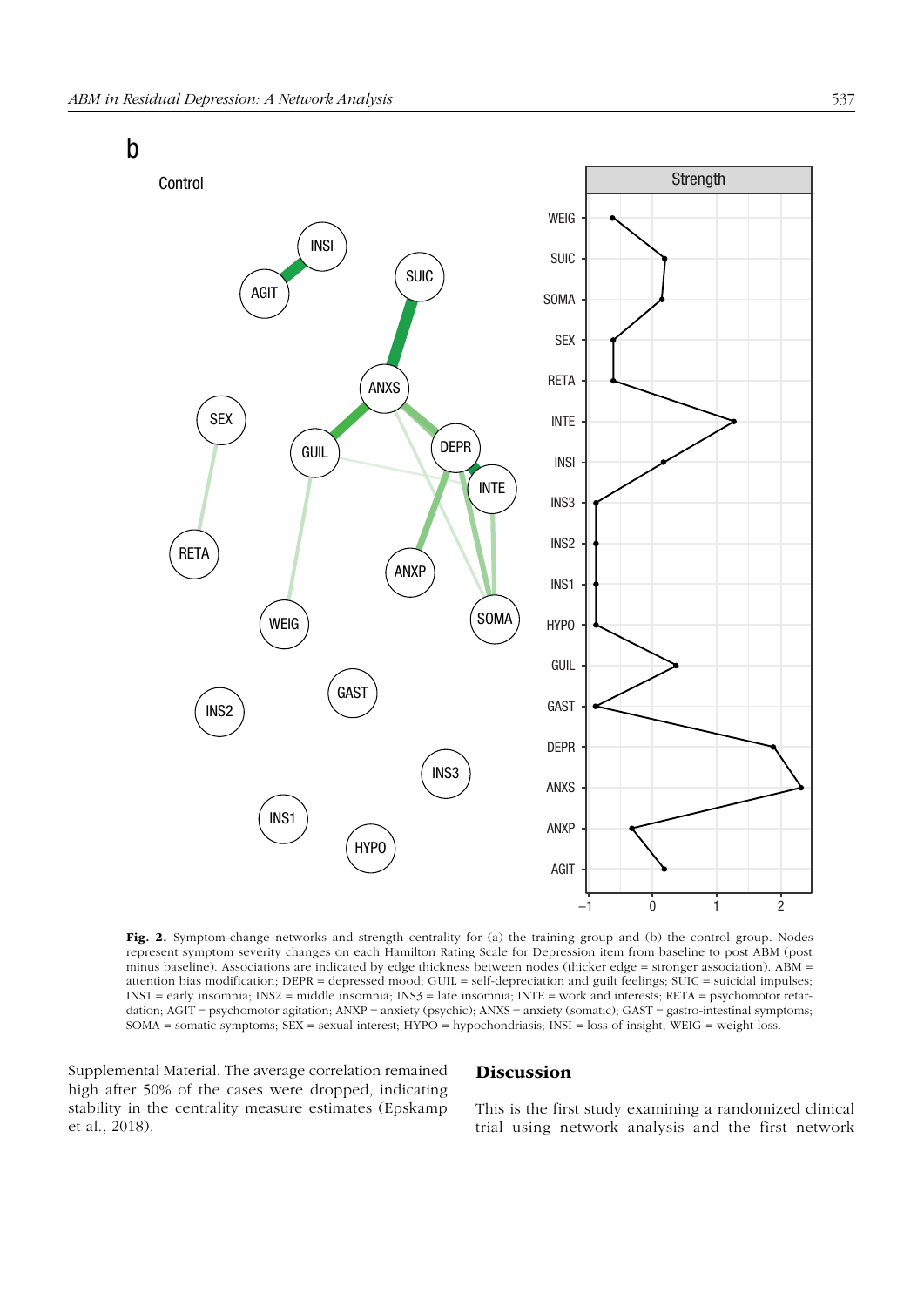b



Fig. 2. Symptom-change networks and strength centrality for (a) the training group and (b) the control group. Nodes represent symptom severity changes on each Hamilton Rating Scale for Depression item from baseline to post ABM (post minus baseline). Associations are indicated by edge thickness between nodes (thicker edge = stronger association). ABM = attention bias modification; DEPR = depressed mood; GUIL = self-depreciation and guilt feelings; SUIC = suicidal impulses; INS1 = early insomnia; INS2 = middle insomnia; INS3 = late insomnia; INTE = work and interests; RETA = psychomotor retardation; AGIT = psychomotor agitation; ANXP = anxiety (psychic); ANXS = anxiety (somatic); GAST = gastro-intestinal symptoms; SOMA = somatic symptoms; SEX = sexual interest; HYPO = hypochondriasis; INSI = loss of insight; WEIG = weight loss.

[Supplemental Material.](https://journals.sagepub.com/doi/suppl/10.1177/2167702618822480) The average correlation remained high after 50% of the cases were dropped, indicating stability in the centrality measure estimates (Epskamp et al., 2018).

## Discussion

This is the first study examining a randomized clinical trial using network analysis and the first network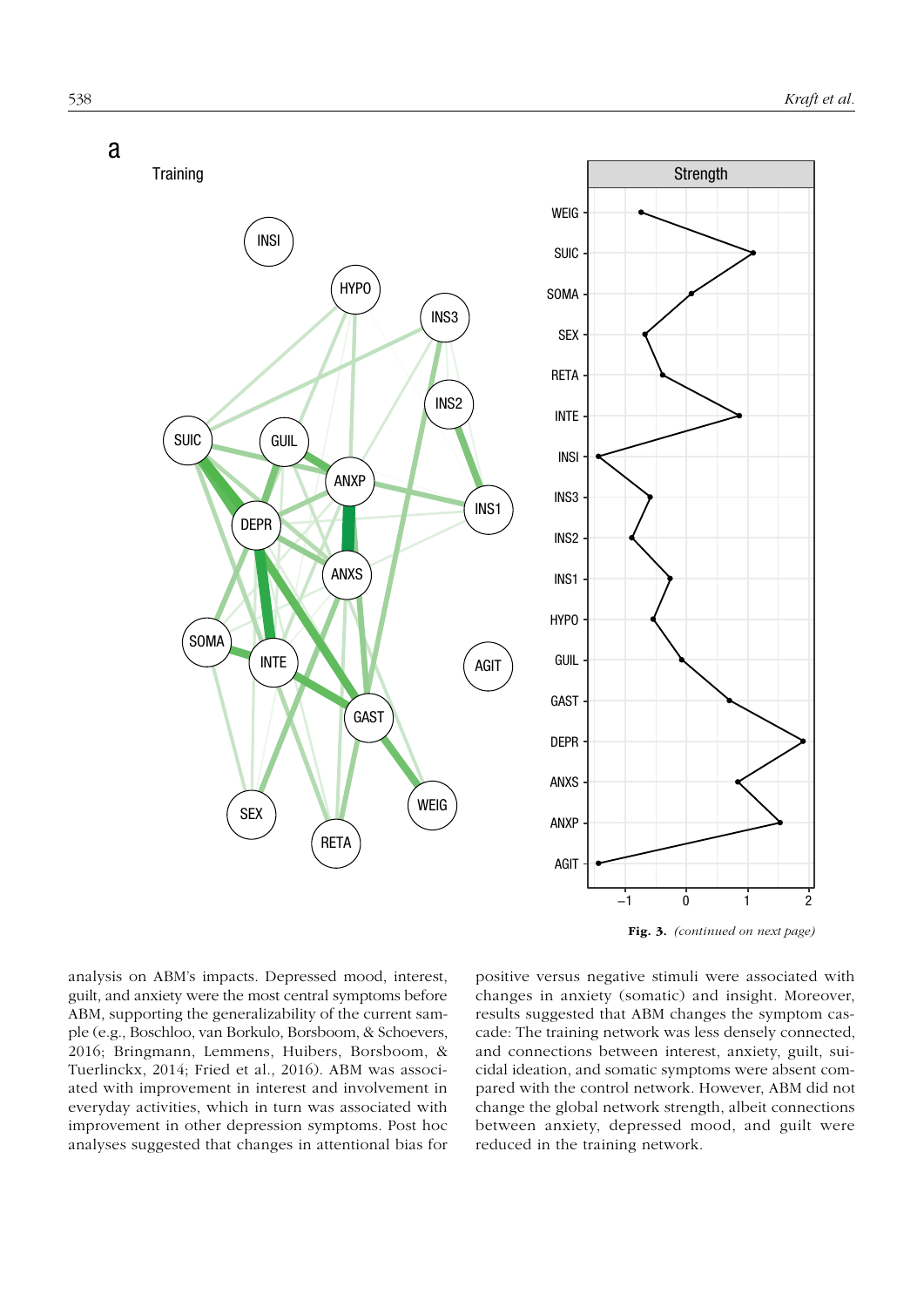

Fig. 3. *(continued on next page)*

analysis on ABM's impacts. Depressed mood, interest, guilt, and anxiety were the most central symptoms before ABM, supporting the generalizability of the current sample (e.g., Boschloo, van Borkulo, Borsboom, & Schoevers, 2016; Bringmann, Lemmens, Huibers, Borsboom, & Tuerlinckx, 2014; Fried et al., 2016). ABM was associated with improvement in interest and involvement in everyday activities, which in turn was associated with improvement in other depression symptoms. Post hoc analyses suggested that changes in attentional bias for

positive versus negative stimuli were associated with changes in anxiety (somatic) and insight. Moreover, results suggested that ABM changes the symptom cascade: The training network was less densely connected, and connections between interest, anxiety, guilt, suicidal ideation, and somatic symptoms were absent compared with the control network. However, ABM did not change the global network strength, albeit connections between anxiety, depressed mood, and guilt were reduced in the training network.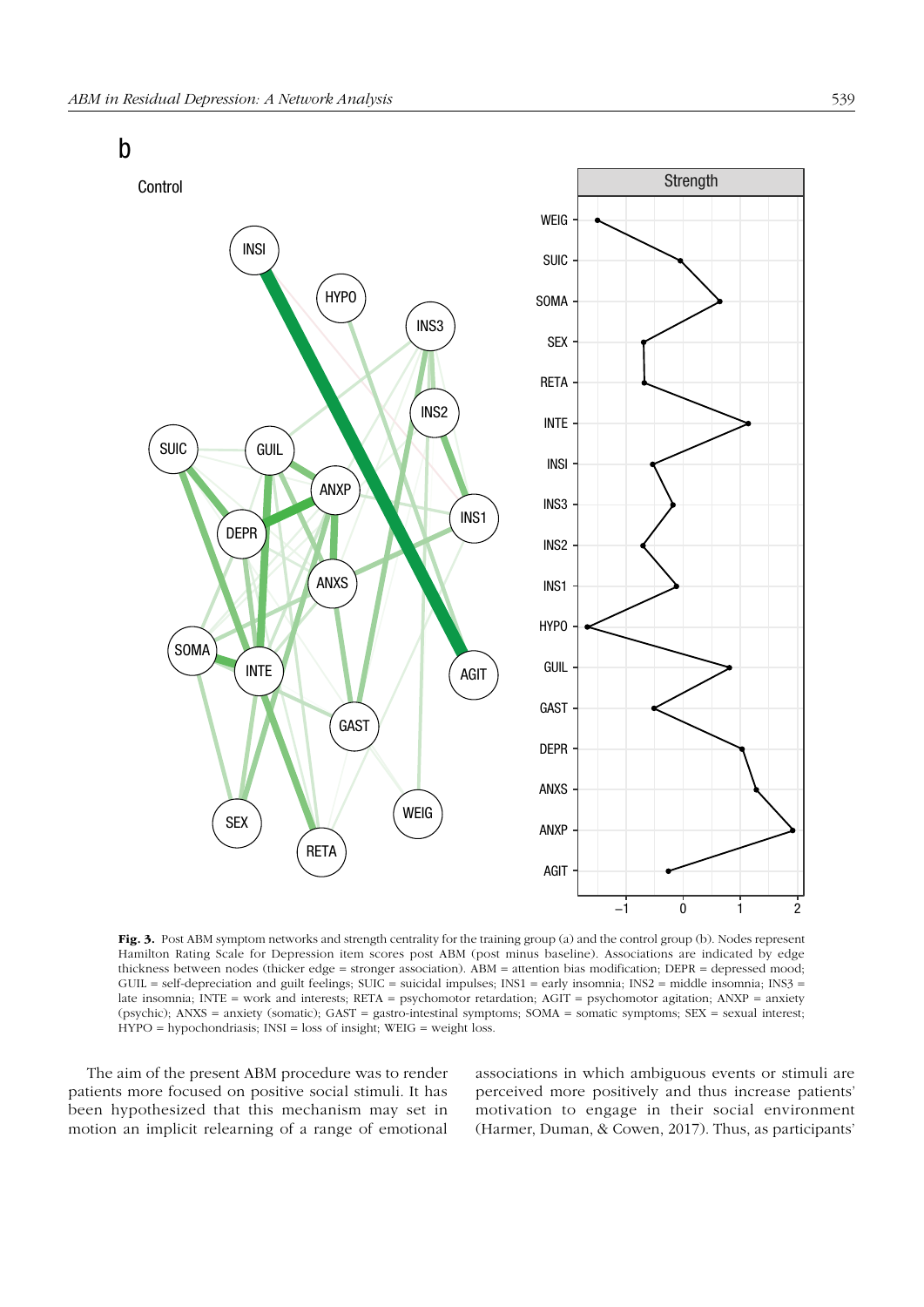



Fig. 3. Post ABM symptom networks and strength centrality for the training group (a) and the control group (b). Nodes represent Hamilton Rating Scale for Depression item scores post ABM (post minus baseline). Associations are indicated by edge thickness between nodes (thicker edge = stronger association). ABM = attention bias modification; DEPR = depressed mood; GUIL = self-depreciation and guilt feelings; SUIC = suicidal impulses; INS1 = early insomnia; INS2 = middle insomnia; INS3 = late insomnia; INTE = work and interests; RETA = psychomotor retardation; AGIT = psychomotor agitation; ANXP = anxiety (psychic); ANXS = anxiety (somatic); GAST = gastro-intestinal symptoms; SOMA = somatic symptoms; SEX = sexual interest; HYPO = hypochondriasis; INSI = loss of insight; WEIG = weight loss.

The aim of the present ABM procedure was to render patients more focused on positive social stimuli. It has been hypothesized that this mechanism may set in motion an implicit relearning of a range of emotional associations in which ambiguous events or stimuli are perceived more positively and thus increase patients' motivation to engage in their social environment (Harmer, Duman, & Cowen, 2017). Thus, as participants'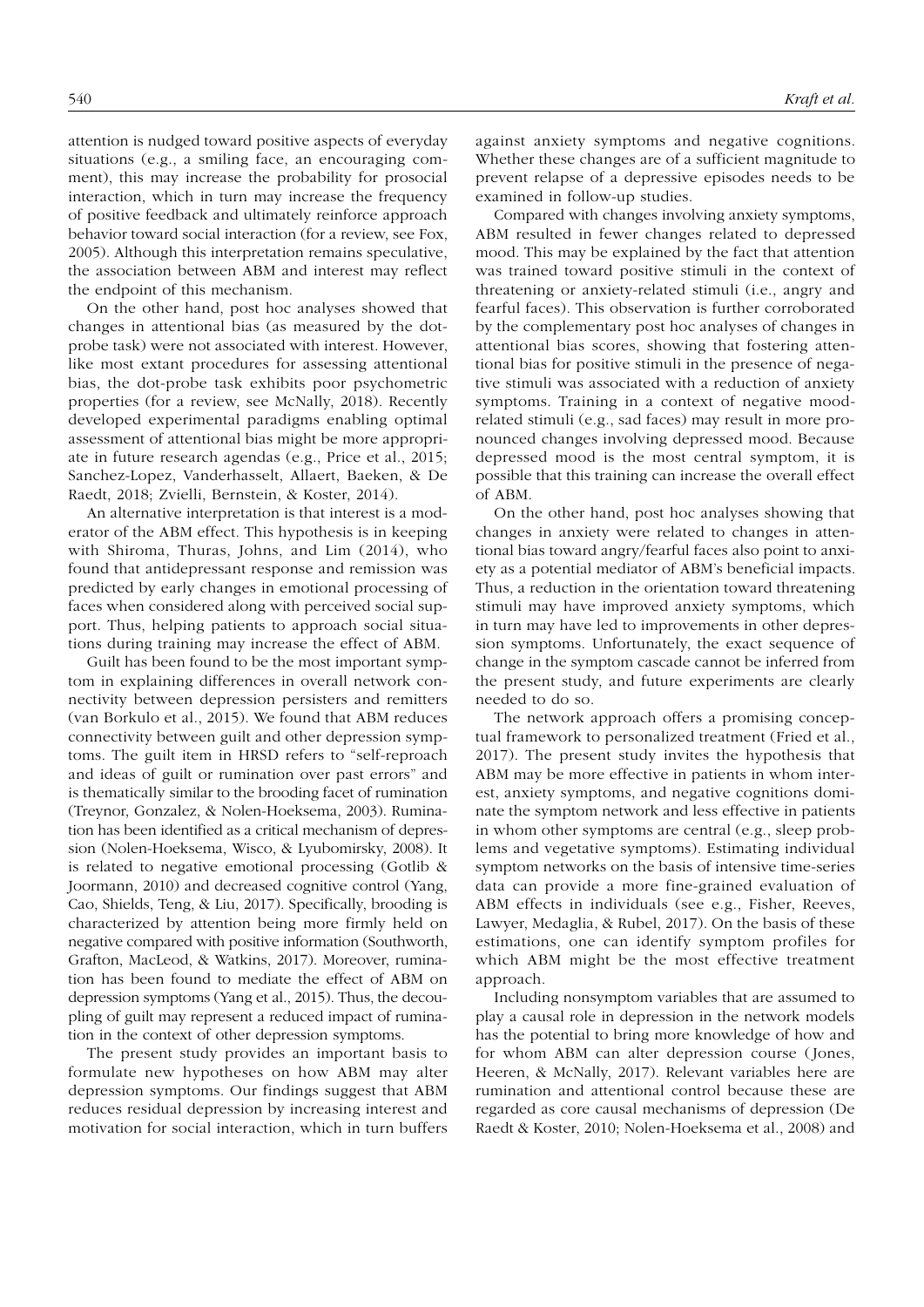attention is nudged toward positive aspects of everyday situations (e.g., a smiling face, an encouraging comment), this may increase the probability for prosocial interaction, which in turn may increase the frequency of positive feedback and ultimately reinforce approach behavior toward social interaction (for a review, see Fox, 2005). Although this interpretation remains speculative, the association between ABM and interest may reflect the endpoint of this mechanism.

On the other hand, post hoc analyses showed that changes in attentional bias (as measured by the dotprobe task) were not associated with interest. However, like most extant procedures for assessing attentional bias, the dot-probe task exhibits poor psychometric properties (for a review, see McNally, 2018). Recently developed experimental paradigms enabling optimal assessment of attentional bias might be more appropriate in future research agendas (e.g., Price et al., 2015; Sanchez-Lopez, Vanderhasselt, Allaert, Baeken, & De Raedt, 2018; Zvielli, Bernstein, & Koster, 2014).

An alternative interpretation is that interest is a moderator of the ABM effect. This hypothesis is in keeping with Shiroma, Thuras, Johns, and Lim (2014), who found that antidepressant response and remission was predicted by early changes in emotional processing of faces when considered along with perceived social support. Thus, helping patients to approach social situations during training may increase the effect of ABM.

Guilt has been found to be the most important symptom in explaining differences in overall network connectivity between depression persisters and remitters (van Borkulo et al., 2015). We found that ABM reduces connectivity between guilt and other depression symptoms. The guilt item in HRSD refers to "self-reproach and ideas of guilt or rumination over past errors" and is thematically similar to the brooding facet of rumination (Treynor, Gonzalez, & Nolen-Hoeksema, 2003). Rumination has been identified as a critical mechanism of depression (Nolen-Hoeksema, Wisco, & Lyubomirsky, 2008). It is related to negative emotional processing (Gotlib & Joormann, 2010) and decreased cognitive control (Yang, Cao, Shields, Teng, & Liu, 2017). Specifically, brooding is characterized by attention being more firmly held on negative compared with positive information (Southworth, Grafton, MacLeod, & Watkins, 2017). Moreover, rumination has been found to mediate the effect of ABM on depression symptoms (Yang et al., 2015). Thus, the decoupling of guilt may represent a reduced impact of rumination in the context of other depression symptoms.

The present study provides an important basis to formulate new hypotheses on how ABM may alter depression symptoms. Our findings suggest that ABM reduces residual depression by increasing interest and motivation for social interaction, which in turn buffers

against anxiety symptoms and negative cognitions. Whether these changes are of a sufficient magnitude to prevent relapse of a depressive episodes needs to be examined in follow-up studies.

Compared with changes involving anxiety symptoms, ABM resulted in fewer changes related to depressed mood. This may be explained by the fact that attention was trained toward positive stimuli in the context of threatening or anxiety-related stimuli (i.e., angry and fearful faces). This observation is further corroborated by the complementary post hoc analyses of changes in attentional bias scores, showing that fostering attentional bias for positive stimuli in the presence of negative stimuli was associated with a reduction of anxiety symptoms. Training in a context of negative moodrelated stimuli (e.g., sad faces) may result in more pronounced changes involving depressed mood. Because depressed mood is the most central symptom, it is possible that this training can increase the overall effect of ABM.

On the other hand, post hoc analyses showing that changes in anxiety were related to changes in attentional bias toward angry/fearful faces also point to anxiety as a potential mediator of ABM's beneficial impacts. Thus, a reduction in the orientation toward threatening stimuli may have improved anxiety symptoms, which in turn may have led to improvements in other depression symptoms. Unfortunately, the exact sequence of change in the symptom cascade cannot be inferred from the present study, and future experiments are clearly needed to do so.

The network approach offers a promising conceptual framework to personalized treatment (Fried et al., 2017). The present study invites the hypothesis that ABM may be more effective in patients in whom interest, anxiety symptoms, and negative cognitions dominate the symptom network and less effective in patients in whom other symptoms are central (e.g., sleep problems and vegetative symptoms). Estimating individual symptom networks on the basis of intensive time-series data can provide a more fine-grained evaluation of ABM effects in individuals (see e.g., Fisher, Reeves, Lawyer, Medaglia, & Rubel, 2017). On the basis of these estimations, one can identify symptom profiles for which ABM might be the most effective treatment approach.

Including nonsymptom variables that are assumed to play a causal role in depression in the network models has the potential to bring more knowledge of how and for whom ABM can alter depression course (Jones, Heeren, & McNally, 2017). Relevant variables here are rumination and attentional control because these are regarded as core causal mechanisms of depression (De Raedt & Koster, 2010; Nolen-Hoeksema et al., 2008) and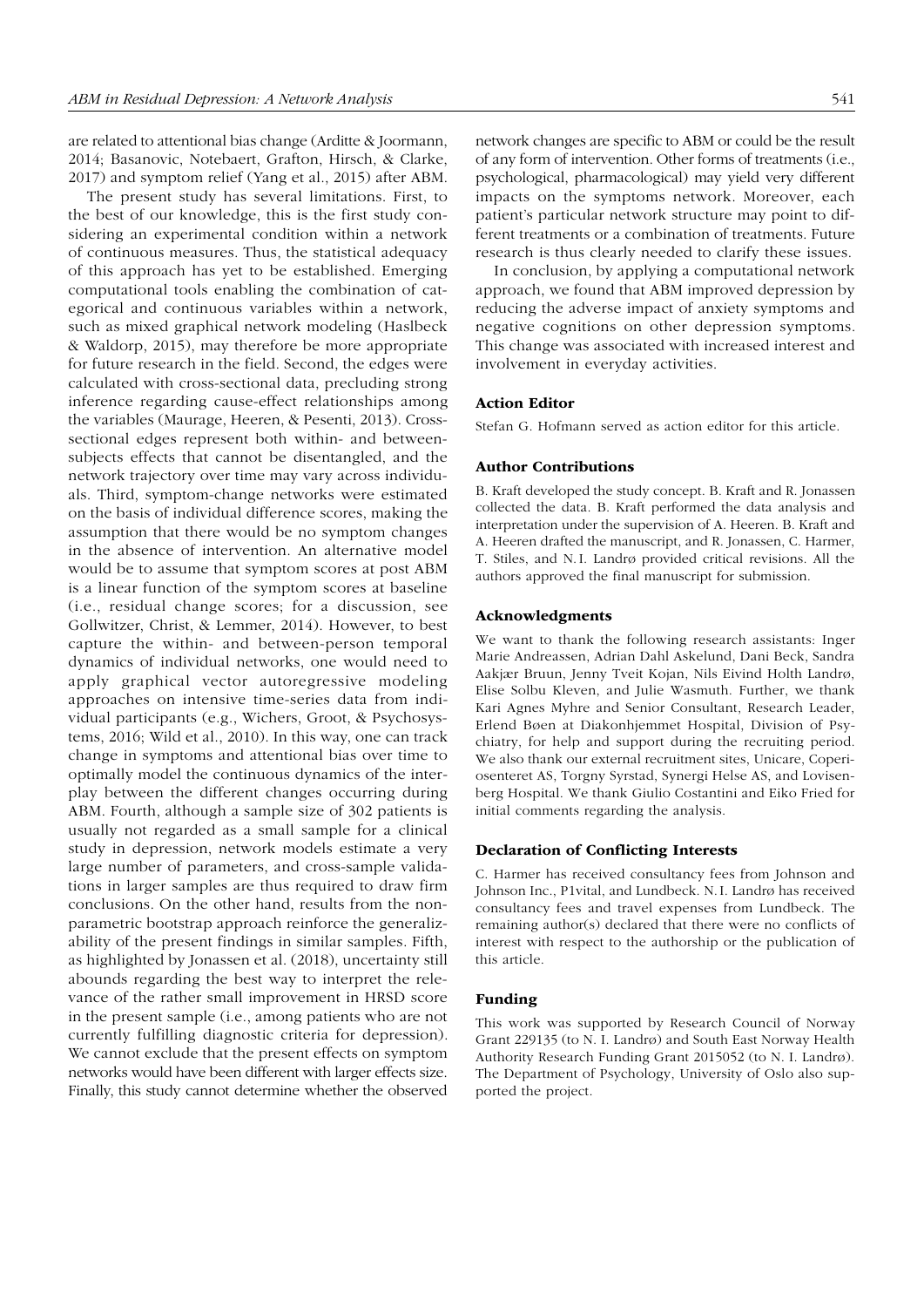are related to attentional bias change (Arditte & Joormann, 2014; Basanovic, Notebaert, Grafton, Hirsch, & Clarke, 2017) and symptom relief (Yang et al., 2015) after ABM.

The present study has several limitations. First, to the best of our knowledge, this is the first study considering an experimental condition within a network of continuous measures. Thus, the statistical adequacy of this approach has yet to be established. Emerging computational tools enabling the combination of categorical and continuous variables within a network, such as mixed graphical network modeling (Haslbeck & Waldorp, 2015), may therefore be more appropriate for future research in the field. Second, the edges were calculated with cross-sectional data, precluding strong inference regarding cause-effect relationships among the variables (Maurage, Heeren, & Pesenti, 2013). Crosssectional edges represent both within- and betweensubjects effects that cannot be disentangled, and the network trajectory over time may vary across individuals. Third, symptom-change networks were estimated on the basis of individual difference scores, making the assumption that there would be no symptom changes in the absence of intervention. An alternative model would be to assume that symptom scores at post ABM is a linear function of the symptom scores at baseline (i.e., residual change scores; for a discussion, see Gollwitzer, Christ, & Lemmer, 2014). However, to best capture the within- and between-person temporal dynamics of individual networks, one would need to apply graphical vector autoregressive modeling approaches on intensive time-series data from individual participants (e.g., Wichers, Groot, & Psychosystems, 2016; Wild et al., 2010). In this way, one can track change in symptoms and attentional bias over time to optimally model the continuous dynamics of the interplay between the different changes occurring during ABM. Fourth, although a sample size of 302 patients is usually not regarded as a small sample for a clinical study in depression, network models estimate a very large number of parameters, and cross-sample validations in larger samples are thus required to draw firm conclusions. On the other hand, results from the nonparametric bootstrap approach reinforce the generalizability of the present findings in similar samples. Fifth, as highlighted by Jonassen et al. (2018), uncertainty still abounds regarding the best way to interpret the relevance of the rather small improvement in HRSD score in the present sample (i.e., among patients who are not currently fulfilling diagnostic criteria for depression). We cannot exclude that the present effects on symptom networks would have been different with larger effects size. Finally, this study cannot determine whether the observed network changes are specific to ABM or could be the result of any form of intervention. Other forms of treatments (i.e., psychological, pharmacological) may yield very different impacts on the symptoms network. Moreover, each patient's particular network structure may point to different treatments or a combination of treatments. Future research is thus clearly needed to clarify these issues.

In conclusion, by applying a computational network approach, we found that ABM improved depression by reducing the adverse impact of anxiety symptoms and negative cognitions on other depression symptoms. This change was associated with increased interest and involvement in everyday activities.

#### Action Editor

Stefan G. Hofmann served as action editor for this article.

#### Author Contributions

B. Kraft developed the study concept. B. Kraft and R. Jonassen collected the data. B. Kraft performed the data analysis and interpretation under the supervision of A. Heeren. B. Kraft and A. Heeren drafted the manuscript, and R. Jonassen, C. Harmer, T. Stiles, and N.I. Landrø provided critical revisions. All the authors approved the final manuscript for submission.

#### Acknowledgments

We want to thank the following research assistants: Inger Marie Andreassen, Adrian Dahl Askelund, Dani Beck, Sandra Aakjær Bruun, Jenny Tveit Kojan, Nils Eivind Holth Landrø, Elise Solbu Kleven, and Julie Wasmuth. Further, we thank Kari Agnes Myhre and Senior Consultant, Research Leader, Erlend Bøen at Diakonhjemmet Hospital, Division of Psychiatry, for help and support during the recruiting period. We also thank our external recruitment sites, Unicare, Coperiosenteret AS, Torgny Syrstad, Synergi Helse AS, and Lovisenberg Hospital. We thank Giulio Costantini and Eiko Fried for initial comments regarding the analysis.

#### Declaration of Conflicting Interests

C. Harmer has received consultancy fees from Johnson and Johnson Inc., P1vital, and Lundbeck. N.I. Landrø has received consultancy fees and travel expenses from Lundbeck. The remaining author(s) declared that there were no conflicts of interest with respect to the authorship or the publication of this article.

#### Funding

This work was supported by Research Council of Norway Grant 229135 (to N. I. Landrø) and South East Norway Health Authority Research Funding Grant 2015052 (to N. I. Landrø). The Department of Psychology, University of Oslo also supported the project.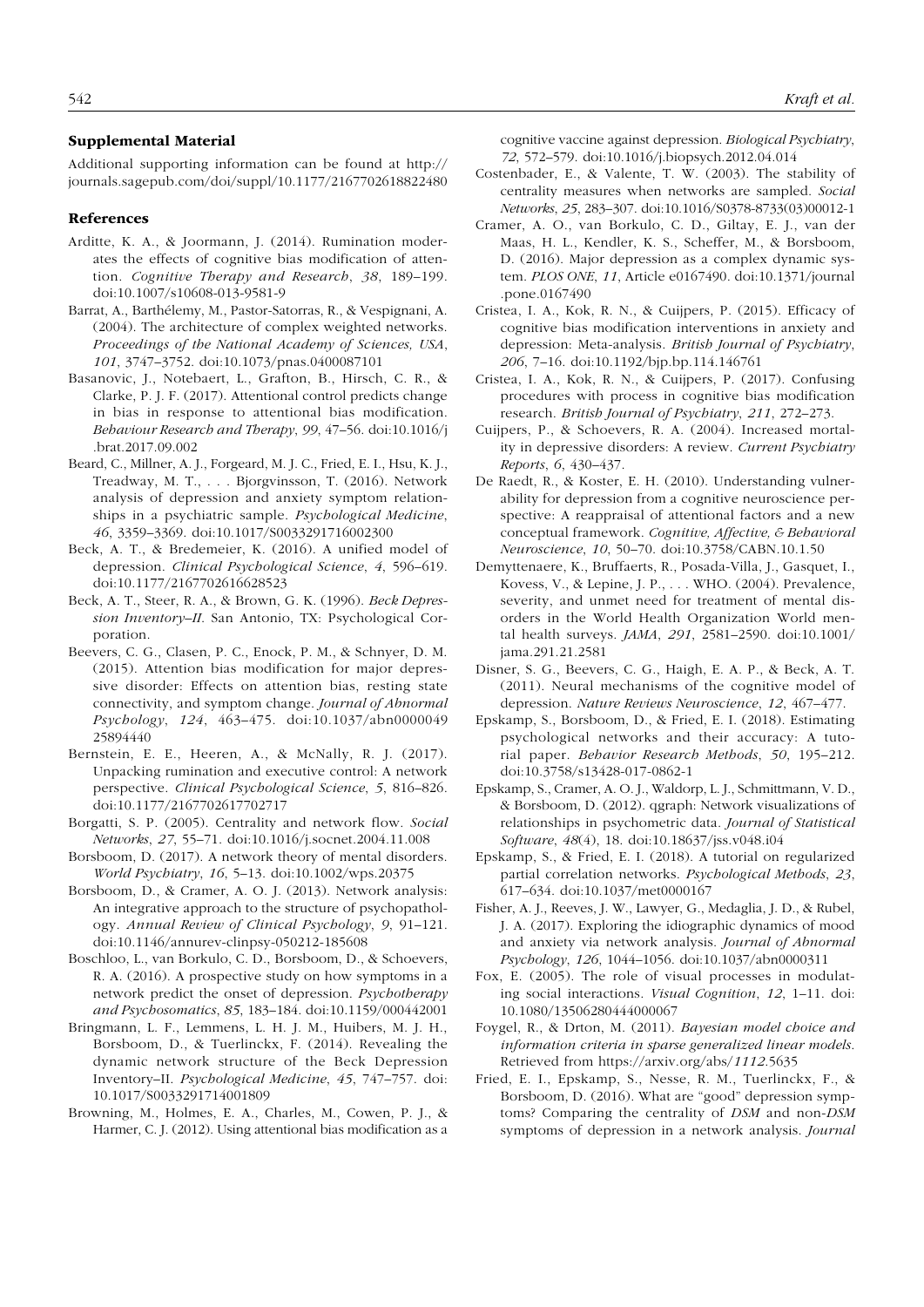#### Supplemental Material

Additional supporting information can be found at http:// journals.sagepub.com/doi/suppl/10.1177/2167702618822480

#### References

- Arditte, K. A., & Joormann, J. (2014). Rumination moderates the effects of cognitive bias modification of attention. *Cognitive Therapy and Research*, *38*, 189–199. doi:10.1007/s10608-013-9581-9
- Barrat, A., Barthélemy, M., Pastor-Satorras, R., & Vespignani, A. (2004). The architecture of complex weighted networks. *Proceedings of the National Academy of Sciences, USA*, *101*, 3747–3752. doi:10.1073/pnas.0400087101
- Basanovic, J., Notebaert, L., Grafton, B., Hirsch, C. R., & Clarke, P. J. F. (2017). Attentional control predicts change in bias in response to attentional bias modification. *Behaviour Research and Therapy*, *99*, 47–56. doi:10.1016/j .brat.2017.09.002
- Beard, C., Millner, A. J., Forgeard, M. J. C., Fried, E. I., Hsu, K. J., Treadway, M. T., . . . Bjorgvinsson, T. (2016). Network analysis of depression and anxiety symptom relationships in a psychiatric sample. *Psychological Medicine*, *46*, 3359–3369. doi:10.1017/S0033291716002300
- Beck, A. T., & Bredemeier, K. (2016). A unified model of depression. *Clinical Psychological Science*, *4*, 596–619. doi:10.1177/2167702616628523
- Beck, A. T., Steer, R. A., & Brown, G. K. (1996). *Beck Depression Inventory–II*. San Antonio, TX: Psychological Corporation.
- Beevers, C. G., Clasen, P. C., Enock, P. M., & Schnyer, D. M. (2015). Attention bias modification for major depressive disorder: Effects on attention bias, resting state connectivity, and symptom change. *Journal of Abnormal Psychology*, *124*, 463–475. doi:10.1037/abn0000049 25894440
- Bernstein, E. E., Heeren, A., & McNally, R. J. (2017). Unpacking rumination and executive control: A network perspective. *Clinical Psychological Science*, *5*, 816–826. doi:10.1177/2167702617702717
- Borgatti, S. P. (2005). Centrality and network flow. *Social Networks*, *27*, 55–71. doi:10.1016/j.socnet.2004.11.008
- Borsboom, D. (2017). A network theory of mental disorders. *World Psychiatry*, *16*, 5–13. doi:10.1002/wps.20375
- Borsboom, D., & Cramer, A. O. J. (2013). Network analysis: An integrative approach to the structure of psychopathology. *Annual Review of Clinical Psychology*, *9*, 91–121. doi:10.1146/annurev-clinpsy-050212-185608
- Boschloo, L., van Borkulo, C. D., Borsboom, D., & Schoevers, R. A. (2016). A prospective study on how symptoms in a network predict the onset of depression. *Psychotherapy and Psychosomatics*, *85*, 183–184. doi:10.1159/000442001
- Bringmann, L. F., Lemmens, L. H. J. M., Huibers, M. J. H., Borsboom, D., & Tuerlinckx, F. (2014). Revealing the dynamic network structure of the Beck Depression Inventory–II. *Psychological Medicine*, *45*, 747–757. doi: 10.1017/S0033291714001809
- Browning, M., Holmes, E. A., Charles, M., Cowen, P. J., & Harmer, C. J. (2012). Using attentional bias modification as a

cognitive vaccine against depression. *Biological Psychiatry*, *72*, 572–579. doi:10.1016/j.biopsych.2012.04.014

- Costenbader, E., & Valente, T. W. (2003). The stability of centrality measures when networks are sampled. *Social Networks*, *25*, 283–307. doi:10.1016/S0378-8733(03)00012-1
- Cramer, A. O., van Borkulo, C. D., Giltay, E. J., van der Maas, H. L., Kendler, K. S., Scheffer, M., & Borsboom, D. (2016). Major depression as a complex dynamic system. *PLOS ONE*, *11*, Article e0167490. doi:10.1371/journal .pone.0167490
- Cristea, I. A., Kok, R. N., & Cuijpers, P. (2015). Efficacy of cognitive bias modification interventions in anxiety and depression: Meta-analysis. *British Journal of Psychiatry*, *206*, 7–16. doi:10.1192/bjp.bp.114.146761
- Cristea, I. A., Kok, R. N., & Cuijpers, P. (2017). Confusing procedures with process in cognitive bias modification research. *British Journal of Psychiatry*, *211*, 272–273.
- Cuijpers, P., & Schoevers, R. A. (2004). Increased mortality in depressive disorders: A review. *Current Psychiatry Reports*, *6*, 430–437.
- De Raedt, R., & Koster, E. H. (2010). Understanding vulnerability for depression from a cognitive neuroscience perspective: A reappraisal of attentional factors and a new conceptual framework. *Cognitive, Affective, & Behavioral Neuroscience*, *10*, 50–70. doi:10.3758/CABN.10.1.50
- Demyttenaere, K., Bruffaerts, R., Posada-Villa, J., Gasquet, I., Kovess, V., & Lepine, J. P., . . . WHO. (2004). Prevalence, severity, and unmet need for treatment of mental disorders in the World Health Organization World mental health surveys. *JAMA*, *291*, 2581–2590. doi:10.1001/ jama.291.21.2581
- Disner, S. G., Beevers, C. G., Haigh, E. A. P., & Beck, A. T. (2011). Neural mechanisms of the cognitive model of depression. *Nature Reviews Neuroscience*, *12*, 467–477.
- Epskamp, S., Borsboom, D., & Fried, E. I. (2018). Estimating psychological networks and their accuracy: A tutorial paper. *Behavior Research Methods*, *50*, 195–212. doi:10.3758/s13428-017-0862-1
- Epskamp, S., Cramer, A. O. J., Waldorp, L. J., Schmittmann, V. D., & Borsboom, D. (2012). qgraph: Network visualizations of relationships in psychometric data. *Journal of Statistical Software*, *48*(4), 18. doi:10.18637/jss.v048.i04
- Epskamp, S., & Fried, E. I. (2018). A tutorial on regularized partial correlation networks. *Psychological Methods*, *23*, 617–634. doi:10.1037/met0000167
- Fisher, A. J., Reeves, J. W., Lawyer, G., Medaglia, J. D., & Rubel, J. A. (2017). Exploring the idiographic dynamics of mood and anxiety via network analysis. *Journal of Abnormal Psychology*, *126*, 1044–1056. doi:10.1037/abn0000311
- Fox, E. (2005). The role of visual processes in modulating social interactions. *Visual Cognition*, *12*, 1–11. doi: 10.1080/13506280444000067
- Foygel, R., & Drton, M. (2011). *Bayesian model choice and information criteria in sparse generalized linear models*. Retrieved from <https://arxiv.org/abs/>*1112*.5635
- Fried, E. I., Epskamp, S., Nesse, R. M., Tuerlinckx, F., & Borsboom, D. (2016). What are "good" depression symptoms? Comparing the centrality of *DSM* and non-*DSM* symptoms of depression in a network analysis. *Journal*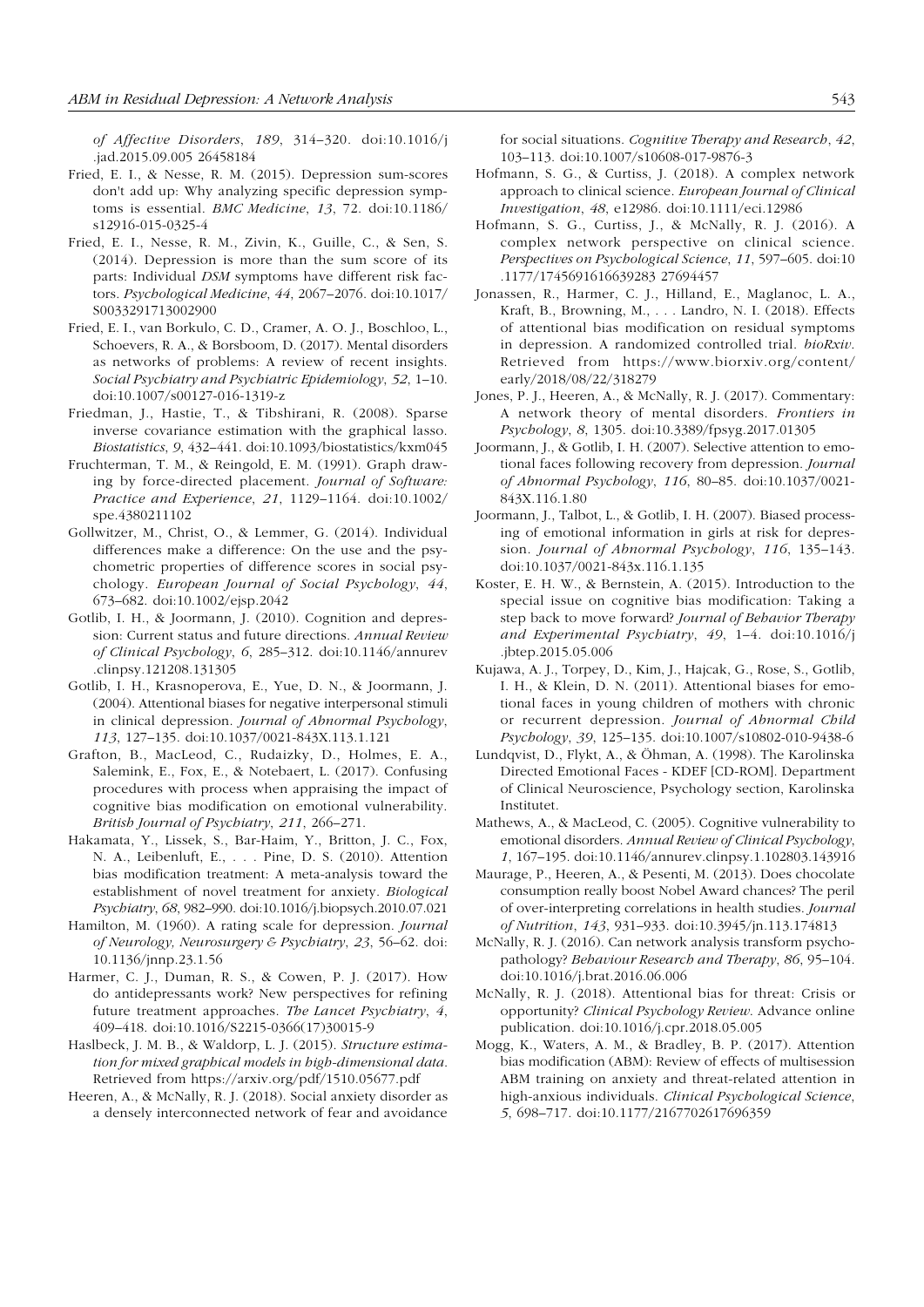*of Affective Disorders*, *189*, 314–320. doi:10.1016/j .jad.2015.09.005 26458184

- Fried, E. I., & Nesse, R. M. (2015). Depression sum-scores don't add up: Why analyzing specific depression symptoms is essential. *BMC Medicine*, *13*, 72. doi:10.1186/ s12916-015-0325-4
- Fried, E. I., Nesse, R. M., Zivin, K., Guille, C., & Sen, S. (2014). Depression is more than the sum score of its parts: Individual *DSM* symptoms have different risk factors. *Psychological Medicine*, *44*, 2067–2076. doi:10.1017/ S0033291713002900
- Fried, E. I., van Borkulo, C. D., Cramer, A. O. J., Boschloo, L., Schoevers, R. A., & Borsboom, D. (2017). Mental disorders as networks of problems: A review of recent insights. *Social Psychiatry and Psychiatric Epidemiology*, *52*, 1–10. doi:10.1007/s00127-016-1319-z
- Friedman, J., Hastie, T., & Tibshirani, R. (2008). Sparse inverse covariance estimation with the graphical lasso. *Biostatistics*, *9*, 432–441. doi:10.1093/biostatistics/kxm045
- Fruchterman, T. M., & Reingold, E. M. (1991). Graph drawing by force-directed placement. *Journal of Software: Practice and Experience*, *21*, 1129–1164. doi:10.1002/ spe.4380211102
- Gollwitzer, M., Christ, O., & Lemmer, G. (2014). Individual differences make a difference: On the use and the psychometric properties of difference scores in social psychology. *European Journal of Social Psychology*, *44*, 673–682. doi:10.1002/ejsp.2042
- Gotlib, I. H., & Joormann, J. (2010). Cognition and depression: Current status and future directions. *Annual Review of Clinical Psychology*, *6*, 285–312. doi:10.1146/annurev .clinpsy.121208.131305
- Gotlib, I. H., Krasnoperova, E., Yue, D. N., & Joormann, J. (2004). Attentional biases for negative interpersonal stimuli in clinical depression. *Journal of Abnormal Psychology*, *113*, 127–135. doi:10.1037/0021-843X.113.1.121
- Grafton, B., MacLeod, C., Rudaizky, D., Holmes, E. A., Salemink, E., Fox, E., & Notebaert, L. (2017). Confusing procedures with process when appraising the impact of cognitive bias modification on emotional vulnerability. *British Journal of Psychiatry*, *211*, 266–271.
- Hakamata, Y., Lissek, S., Bar-Haim, Y., Britton, J. C., Fox, N. A., Leibenluft, E., . . . Pine, D. S. (2010). Attention bias modification treatment: A meta-analysis toward the establishment of novel treatment for anxiety. *Biological Psychiatry*, *68*, 982–990. doi:10.1016/j.biopsych.2010.07.021
- Hamilton, M. (1960). A rating scale for depression. *Journal of Neurology, Neurosurgery & Psychiatry*, *23*, 56–62. doi: 10.1136/jnnp.23.1.56
- Harmer, C. J., Duman, R. S., & Cowen, P. J. (2017). How do antidepressants work? New perspectives for refining future treatment approaches. *The Lancet Psychiatry*, *4*, 409–418. doi:10.1016/S2215-0366(17)30015-9
- Haslbeck, J. M. B., & Waldorp, L. J. (2015). *Structure estimation for mixed graphical models in high-dimensional data*. Retrieved from <https://arxiv.org/pdf/1510.05677.pdf>
- Heeren, A., & McNally, R. J. (2018). Social anxiety disorder as a densely interconnected network of fear and avoidance

for social situations. *Cognitive Therapy and Research*, *42*, 103–113. doi:10.1007/s10608-017-9876-3

- Hofmann, S. G., & Curtiss, J. (2018). A complex network approach to clinical science. *European Journal of Clinical Investigation*, *48*, e12986. doi:10.1111/eci.12986
- Hofmann, S. G., Curtiss, J., & McNally, R. J. (2016). A complex network perspective on clinical science. *Perspectives on Psychological Science*, *11*, 597–605. doi:10 .1177/1745691616639283 27694457
- Jonassen, R., Harmer, C. J., Hilland, E., Maglanoc, L. A., Kraft, B., Browning, M., . . . Landro, N. I. (2018). Effects of attentional bias modification on residual symptoms in depression. A randomized controlled trial. *bioRxiv*. Retrieved from [https://www.biorxiv.org/content/](https://www.biorxiv.org/content/early/2018/08/22/318279) [early/2018/08/22/318279](https://www.biorxiv.org/content/early/2018/08/22/318279)
- Jones, P. J., Heeren, A., & McNally, R. J. (2017). Commentary: A network theory of mental disorders. *Frontiers in Psychology*, *8*, 1305. doi:10.3389/fpsyg.2017.01305
- Joormann, J., & Gotlib, I. H. (2007). Selective attention to emotional faces following recovery from depression. *Journal of Abnormal Psychology*, *116*, 80–85. doi:10.1037/0021- 843X.116.1.80
- Joormann, J., Talbot, L., & Gotlib, I. H. (2007). Biased processing of emotional information in girls at risk for depression. *Journal of Abnormal Psychology*, *116*, 135–143. doi:10.1037/0021-843x.116.1.135
- Koster, E. H. W., & Bernstein, A. (2015). Introduction to the special issue on cognitive bias modification: Taking a step back to move forward? *Journal of Behavior Therapy and Experimental Psychiatry*, *49*, 1–4. doi:10.1016/j .jbtep.2015.05.006
- Kujawa, A. J., Torpey, D., Kim, J., Hajcak, G., Rose, S., Gotlib, I. H., & Klein, D. N. (2011). Attentional biases for emotional faces in young children of mothers with chronic or recurrent depression. *Journal of Abnormal Child Psychology*, *39*, 125–135. doi:10.1007/s10802-010-9438-6
- Lundqvist, D., Flykt, A., & Öhman, A. (1998). The Karolinska Directed Emotional Faces - KDEF [CD-ROM]. Department of Clinical Neuroscience, Psychology section, Karolinska Institutet.
- Mathews, A., & MacLeod, C. (2005). Cognitive vulnerability to emotional disorders. *Annual Review of Clinical Psychology*, *1*, 167–195. doi:10.1146/annurev.clinpsy.1.102803.143916
- Maurage, P., Heeren, A., & Pesenti, M. (2013). Does chocolate consumption really boost Nobel Award chances? The peril of over-interpreting correlations in health studies. *Journal of Nutrition*, *143*, 931–933. doi:10.3945/jn.113.174813
- McNally, R. J. (2016). Can network analysis transform psychopathology? *Behaviour Research and Therapy*, *86*, 95–104. doi:10.1016/j.brat.2016.06.006
- McNally, R. J. (2018). Attentional bias for threat: Crisis or opportunity? *Clinical Psychology Review*. Advance online publication. doi:10.1016/j.cpr.2018.05.005
- Mogg, K., Waters, A. M., & Bradley, B. P. (2017). Attention bias modification (ABM): Review of effects of multisession ABM training on anxiety and threat-related attention in high-anxious individuals. *Clinical Psychological Science*, *5*, 698–717. doi:10.1177/2167702617696359